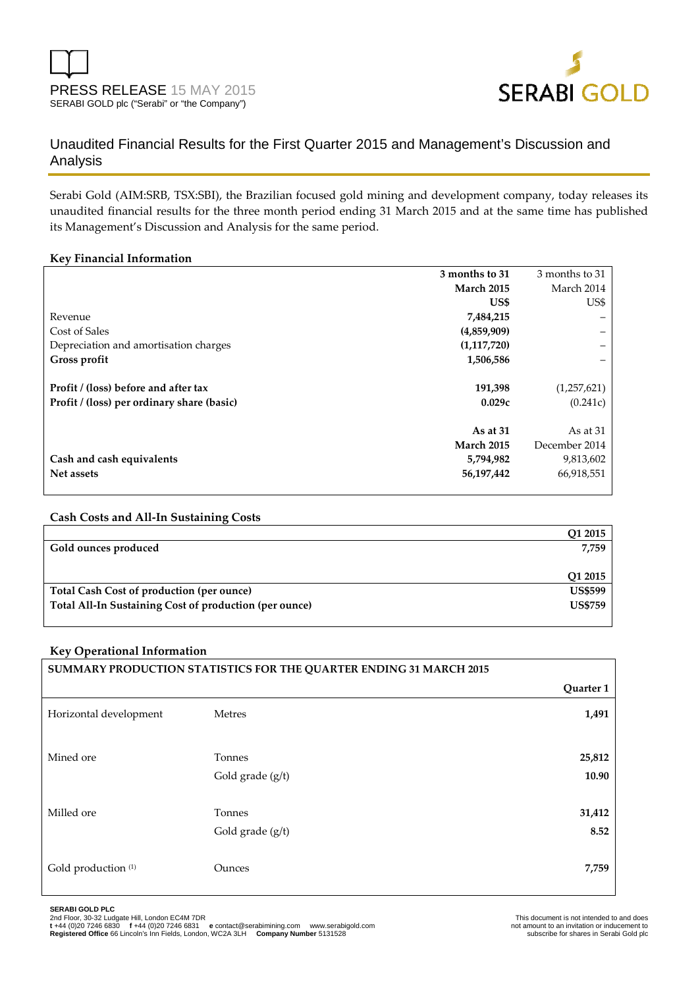



# Unaudited Financial Results for the First Quarter 2015 and Management's Discussion and Analysis

Serabi Gold (AIM:SRB, TSX:SBI), the Brazilian focused gold mining and development company, today releases its unaudited financial results for the three month period ending 31 March 2015 and at the same time has published its Management's Discussion and Analysis for the same period.

# **Key Financial Information**

|                                            | 3 months to 31    | 3 months to 31 |
|--------------------------------------------|-------------------|----------------|
|                                            | <b>March 2015</b> | March 2014     |
|                                            | US\$              | US\$           |
| Revenue                                    | 7,484,215         |                |
| Cost of Sales                              | (4,859,909)       |                |
| Depreciation and amortisation charges      | (1,117,720)       |                |
| Gross profit                               | 1,506,586         |                |
| Profit / (loss) before and after tax       | 191,398           | (1,257,621)    |
| Profit / (loss) per ordinary share (basic) | 0.029c            | (0.241c)       |
|                                            | As at 31          | As at 31       |
|                                            | <b>March 2015</b> | December 2014  |
| Cash and cash equivalents                  | 5,794,982         | 9,813,602      |
| Net assets                                 | 56,197,442        | 66,918,551     |

# **Cash Costs and All-In Sustaining Costs**

|                                                        | Q1 2015        |
|--------------------------------------------------------|----------------|
| Gold ounces produced                                   | 7,759          |
|                                                        |                |
|                                                        | Q1 2015        |
| Total Cash Cost of production (per ounce)              | <b>US\$599</b> |
| Total All-In Sustaining Cost of production (per ounce) | <b>US\$759</b> |
|                                                        |                |

# **Key Operational Information**

| SUMMARY PRODUCTION STATISTICS FOR THE QUARTER ENDING 31 MARCH 2015 |                  |           |  |  |
|--------------------------------------------------------------------|------------------|-----------|--|--|
|                                                                    |                  | Quarter 1 |  |  |
| Horizontal development                                             | <b>Metres</b>    | 1,491     |  |  |
| Mined ore                                                          | Tonnes           | 25,812    |  |  |
|                                                                    | Gold grade (g/t) | 10.90     |  |  |
| Milled ore                                                         | Tonnes           | 31,412    |  |  |
|                                                                    | Gold grade (g/t) | 8.52      |  |  |
| Gold production <sup>(1)</sup>                                     | Ounces           | 7,759     |  |  |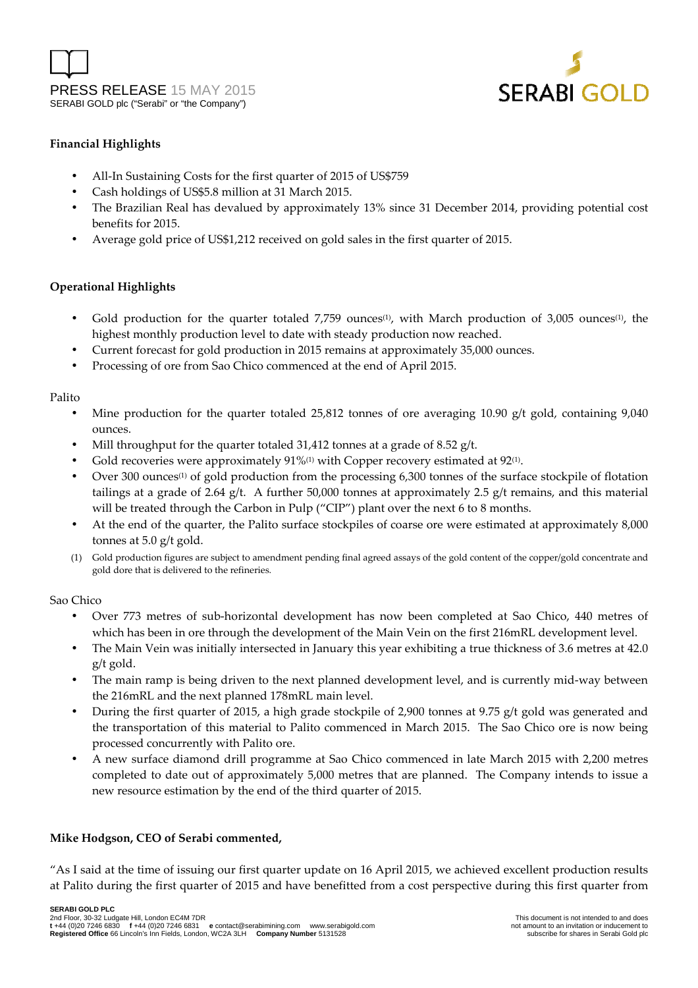



# **Financial Highlights**

- All-In Sustaining Costs for the first quarter of 2015 of US\$759
- Cash holdings of US\$5.8 million at 31 March 2015.
- The Brazilian Real has devalued by approximately 13% since 31 December 2014, providing potential cost benefits for 2015.
- Average gold price of US\$1,212 received on gold sales in the first quarter of 2015.

# **Operational Highlights**

- Gold production for the quarter totaled 7,759 ounces<sup>(1)</sup>, with March production of 3,005 ounces<sup>(1)</sup>, the highest monthly production level to date with steady production now reached.
- Current forecast for gold production in 2015 remains at approximately 35,000 ounces.
- Processing of ore from Sao Chico commenced at the end of April 2015.

# Palito

- Mine production for the quarter totaled 25,812 tonnes of ore averaging 10.90 g/t gold, containing 9,040 ounces.
- Mill throughput for the quarter totaled 31,412 tonnes at a grade of 8.52 g/t.
- Gold recoveries were approximately 91%<sup>(1)</sup> with Copper recovery estimated at 92<sup>(1)</sup>.
- Over 300 ounces<sup>(1)</sup> of gold production from the processing  $6,300$  tonnes of the surface stockpile of flotation tailings at a grade of 2.64 g/t. A further 50,000 tonnes at approximately 2.5 g/t remains, and this material will be treated through the Carbon in Pulp ("CIP") plant over the next 6 to 8 months.
- At the end of the quarter, the Palito surface stockpiles of coarse ore were estimated at approximately 8,000 tonnes at 5.0 g/t gold.
- (1) Gold production figures are subject to amendment pending final agreed assays of the gold content of the copper/gold concentrate and gold dore that is delivered to the refineries.

# Sao Chico

- Over 773 metres of sub-horizontal development has now been completed at Sao Chico, 440 metres of which has been in ore through the development of the Main Vein on the first 216mRL development level.
- The Main Vein was initially intersected in January this year exhibiting a true thickness of 3.6 metres at 42.0 g/t gold.
- The main ramp is being driven to the next planned development level, and is currently mid-way between the 216mRL and the next planned 178mRL main level.
- During the first quarter of 2015, a high grade stockpile of 2,900 tonnes at 9.75 g/t gold was generated and the transportation of this material to Palito commenced in March 2015. The Sao Chico ore is now being processed concurrently with Palito ore.
- A new surface diamond drill programme at Sao Chico commenced in late March 2015 with 2,200 metres completed to date out of approximately 5,000 metres that are planned. The Company intends to issue a new resource estimation by the end of the third quarter of 2015.

# **Mike Hodgson, CEO of Serabi commented,**

"As I said at the time of issuing our first quarter update on 16 April 2015, we achieved excellent production results at Palito during the first quarter of 2015 and have benefitted from a cost perspective during this first quarter from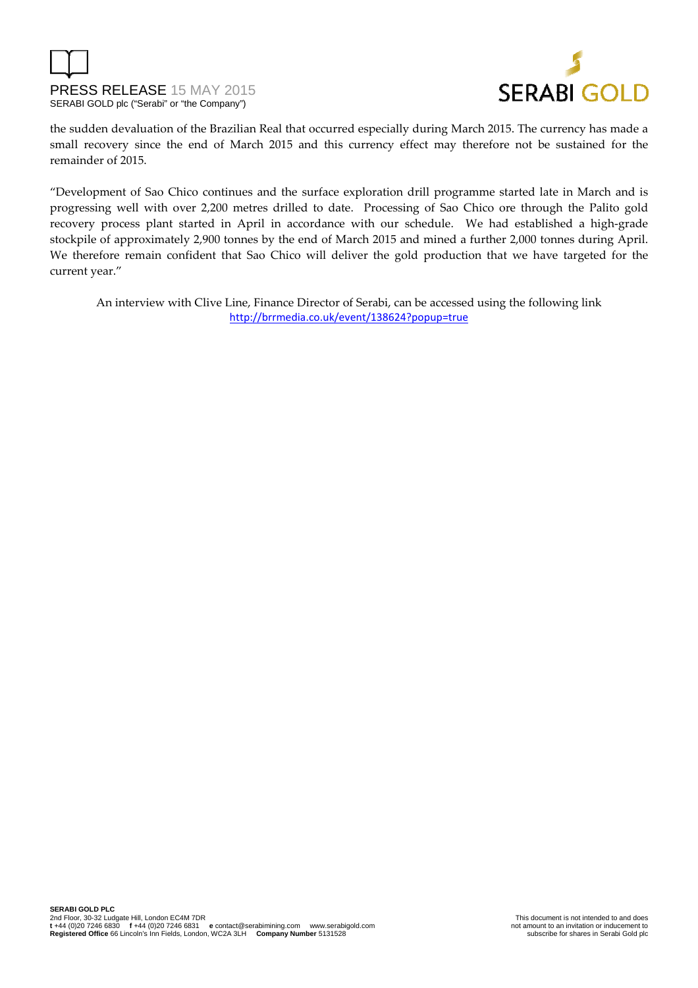



the sudden devaluation of the Brazilian Real that occurred especially during March 2015. The currency has made a small recovery since the end of March 2015 and this currency effect may therefore not be sustained for the remainder of 2015.

"Development of Sao Chico continues and the surface exploration drill programme started late in March and is progressing well with over 2,200 metres drilled to date. Processing of Sao Chico ore through the Palito gold recovery process plant started in April in accordance with our schedule. We had established a high-grade stockpile of approximately 2,900 tonnes by the end of March 2015 and mined a further 2,000 tonnes during April. We therefore remain confident that Sao Chico will deliver the gold production that we have targeted for the current year."

An interview with Clive Line, Finance Director of Serabi, can be accessed using the following link http://brrmedia.co.uk/event/138624?popup=true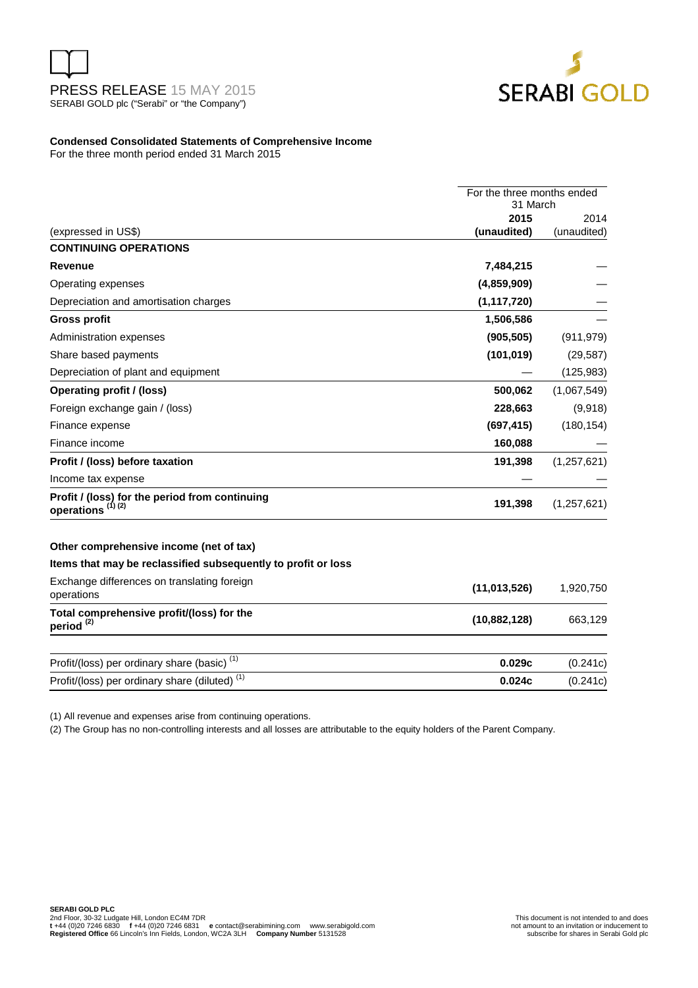



#### **Condensed Consolidated Statements of Comprehensive Income**

For the three month period ended 31 March 2015

|                                                                                |                | For the three months ended<br>31 March |  |
|--------------------------------------------------------------------------------|----------------|----------------------------------------|--|
|                                                                                | 2015           | 2014                                   |  |
| (expressed in US\$)                                                            | (unaudited)    | (unaudited)                            |  |
| <b>CONTINUING OPERATIONS</b>                                                   |                |                                        |  |
| Revenue                                                                        | 7,484,215      |                                        |  |
| Operating expenses                                                             | (4,859,909)    |                                        |  |
| Depreciation and amortisation charges                                          | (1, 117, 720)  |                                        |  |
| <b>Gross profit</b>                                                            | 1,506,586      |                                        |  |
| Administration expenses                                                        | (905, 505)     | (911, 979)                             |  |
| Share based payments                                                           | (101, 019)     | (29, 587)                              |  |
| Depreciation of plant and equipment                                            |                | (125, 983)                             |  |
| Operating profit / (loss)                                                      | 500,062        | (1,067,549)                            |  |
| Foreign exchange gain / (loss)                                                 | 228,663        | (9,918)                                |  |
| Finance expense                                                                | (697, 415)     | (180, 154)                             |  |
| Finance income                                                                 | 160,088        |                                        |  |
| Profit / (loss) before taxation                                                | 191,398        | (1,257,621)                            |  |
| Income tax expense                                                             |                |                                        |  |
| Profit / (loss) for the period from continuing<br>operations <sup>(1)(2)</sup> | 191,398        | (1, 257, 621)                          |  |
| Other comprehensive income (net of tax)                                        |                |                                        |  |
| Items that may be reclassified subsequently to profit or loss                  |                |                                        |  |
| Exchange differences on translating foreign<br>operations                      | (11, 013, 526) | 1,920,750                              |  |
| Total comprehensive profit/(loss) for the<br>period <sup>(2)</sup>             | (10,882,128)   | 663,129                                |  |
| Profit/(loss) per ordinary share (basic) <sup>(1)</sup>                        | 0.029c         | (0.241c)                               |  |
| Profit/(loss) per ordinary share (diluted) <sup>(1)</sup>                      | 0.024c         | (0.241c)                               |  |
|                                                                                |                |                                        |  |

(1) All revenue and expenses arise from continuing operations.

(2) The Group has no non-controlling interests and all losses are attributable to the equity holders of the Parent Company.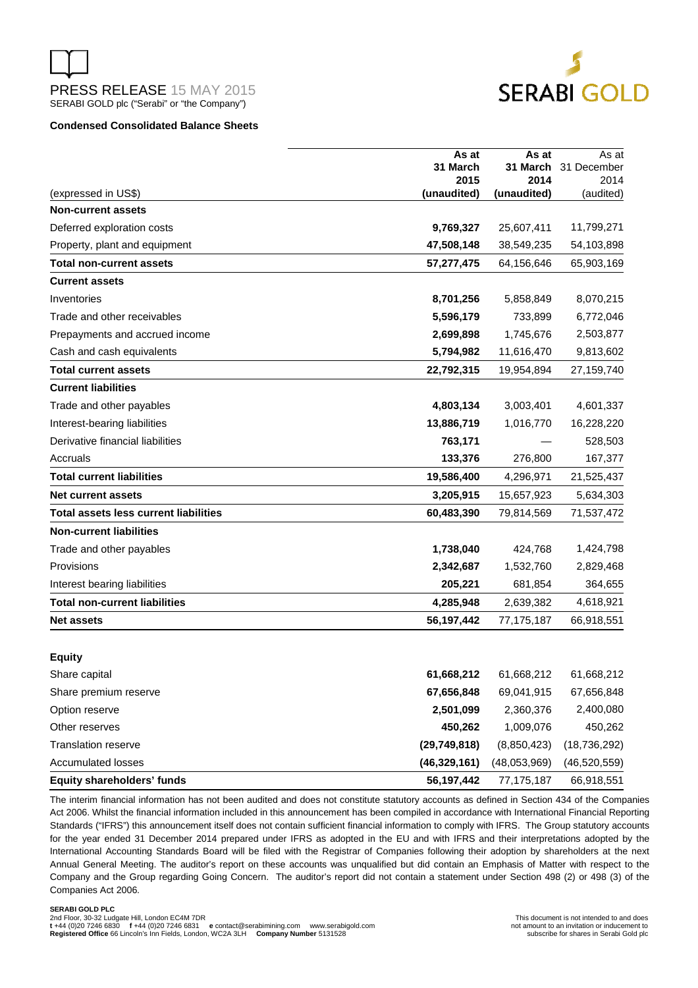



#### **Condensed Consolidated Balance Sheets**

|                                                  | As at          | As at        | As at             |
|--------------------------------------------------|----------------|--------------|-------------------|
|                                                  | 31 March       | 31 March     | 31 December       |
|                                                  | 2015           | 2014         | 2014<br>(audited) |
| (expressed in US\$)<br><b>Non-current assets</b> | (unaudited)    | (unaudited)  |                   |
|                                                  |                |              | 11,799,271        |
| Deferred exploration costs                       | 9,769,327      | 25,607,411   |                   |
| Property, plant and equipment                    | 47,508,148     | 38,549,235   | 54,103,898        |
| <b>Total non-current assets</b>                  | 57,277,475     | 64,156,646   | 65,903,169        |
| <b>Current assets</b>                            |                |              |                   |
| Inventories                                      | 8,701,256      | 5,858,849    | 8,070,215         |
| Trade and other receivables                      | 5,596,179      | 733,899      | 6,772,046         |
| Prepayments and accrued income                   | 2,699,898      | 1,745,676    | 2,503,877         |
| Cash and cash equivalents                        | 5,794,982      | 11,616,470   | 9,813,602         |
| <b>Total current assets</b>                      | 22,792,315     | 19,954,894   | 27,159,740        |
| <b>Current liabilities</b>                       |                |              |                   |
| Trade and other payables                         | 4,803,134      | 3,003,401    | 4,601,337         |
| Interest-bearing liabilities                     | 13,886,719     | 1,016,770    | 16,228,220        |
| Derivative financial liabilities                 | 763,171        |              | 528,503           |
| Accruals                                         | 133,376        | 276,800      | 167,377           |
| <b>Total current liabilities</b>                 | 19,586,400     | 4,296,971    | 21,525,437        |
| <b>Net current assets</b>                        | 3,205,915      | 15,657,923   | 5,634,303         |
| <b>Total assets less current liabilities</b>     | 60,483,390     | 79,814,569   | 71,537,472        |
| <b>Non-current liabilities</b>                   |                |              |                   |
| Trade and other payables                         | 1,738,040      | 424,768      | 1,424,798         |
| Provisions                                       | 2,342,687      | 1,532,760    | 2,829,468         |
| Interest bearing liabilities                     | 205,221        | 681,854      | 364,655           |
| <b>Total non-current liabilities</b>             | 4,285,948      | 2,639,382    | 4,618,921         |
| Net assets                                       | 56,197,442     | 77,175,187   | 66,918,551        |
|                                                  |                |              |                   |
| <b>Equity</b>                                    |                |              |                   |
| Share capital                                    | 61,668,212     | 61,668,212   | 61,668,212        |
| Share premium reserve                            | 67,656,848     | 69,041,915   | 67,656,848        |
| Option reserve                                   | 2,501,099      | 2,360,376    | 2,400,080         |
| Other reserves                                   | 450,262        | 1,009,076    | 450,262           |
| <b>Translation reserve</b>                       | (29, 749, 818) | (8,850,423)  | (18, 736, 292)    |
| <b>Accumulated losses</b>                        | (46, 329, 161) | (48,053,969) | (46, 520, 559)    |
| Equity shareholders' funds                       | 56,197,442     | 77,175,187   | 66,918,551        |

The interim financial information has not been audited and does not constitute statutory accounts as defined in Section 434 of the Companies Act 2006. Whilst the financial information included in this announcement has been compiled in accordance with International Financial Reporting Standards ("IFRS") this announcement itself does not contain sufficient financial information to comply with IFRS. The Group statutory accounts for the year ended 31 December 2014 prepared under IFRS as adopted in the EU and with IFRS and their interpretations adopted by the International Accounting Standards Board will be filed with the Registrar of Companies following their adoption by shareholders at the next Annual General Meeting. The auditor's report on these accounts was unqualified but did contain an Emphasis of Matter with respect to the Company and the Group regarding Going Concern. The auditor's report did not contain a statement under Section 498 (2) or 498 (3) of the Companies Act 2006.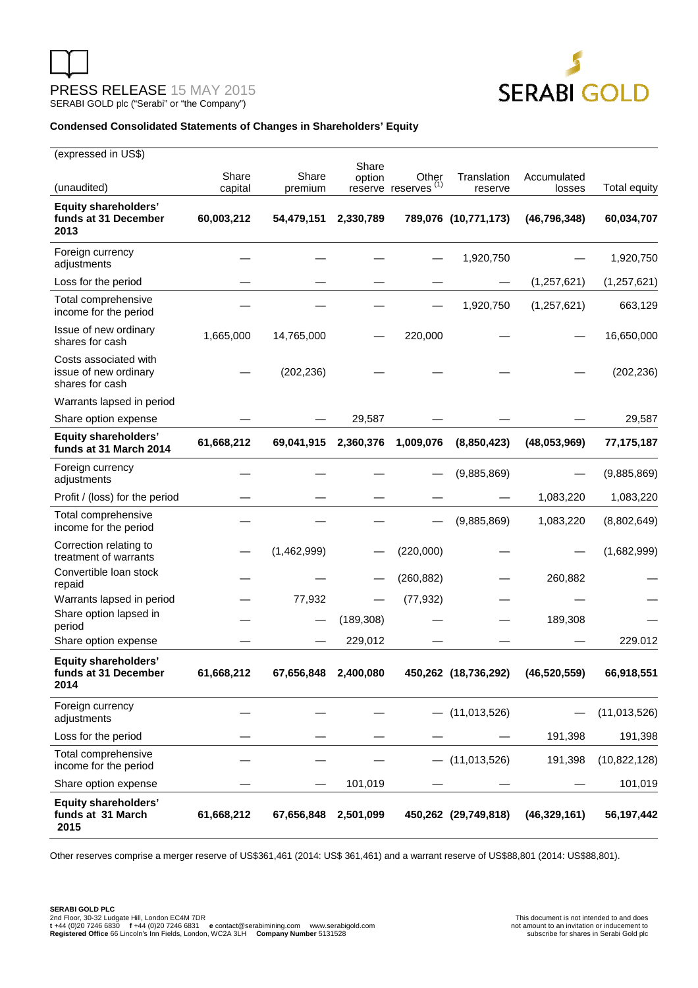

# **Condensed Consolidated Statements of Changes in Shareholders' Equity**

| (expressed in US\$)                                               |                  |                      |                 |                           |                        |                       |                     |
|-------------------------------------------------------------------|------------------|----------------------|-----------------|---------------------------|------------------------|-----------------------|---------------------|
| (unaudited)                                                       | Share<br>capital | Share<br>premium     | Share<br>option | Other<br>reserve reserves | Translation<br>reserve | Accumulated<br>losses | <b>Total equity</b> |
| <b>Equity shareholders'</b><br>funds at 31 December<br>2013       | 60,003,212       | 54,479,151           | 2,330,789       |                           | 789,076 (10,771,173)   | (46, 796, 348)        | 60,034,707          |
| Foreign currency<br>adjustments                                   |                  |                      |                 |                           | 1,920,750              |                       | 1,920,750           |
| Loss for the period                                               |                  |                      |                 |                           |                        | (1, 257, 621)         | (1, 257, 621)       |
| Total comprehensive<br>income for the period                      |                  |                      |                 |                           | 1,920,750              | (1, 257, 621)         | 663,129             |
| Issue of new ordinary<br>shares for cash                          | 1,665,000        | 14,765,000           |                 | 220,000                   |                        |                       | 16,650,000          |
| Costs associated with<br>issue of new ordinary<br>shares for cash |                  | (202, 236)           |                 |                           |                        |                       | (202, 236)          |
| Warrants lapsed in period                                         |                  |                      |                 |                           |                        |                       |                     |
| Share option expense                                              |                  |                      | 29,587          |                           |                        |                       | 29,587              |
| <b>Equity shareholders'</b><br>funds at 31 March 2014             | 61,668,212       | 69,041,915           | 2,360,376       | 1,009,076                 | (8,850,423)            | (48,053,969)          | 77,175,187          |
| Foreign currency<br>adjustments                                   |                  |                      |                 |                           | (9,885,869)            |                       | (9,885,869)         |
| Profit / (loss) for the period                                    |                  |                      |                 |                           |                        | 1,083,220             | 1,083,220           |
| Total comprehensive<br>income for the period                      |                  |                      |                 |                           | (9,885,869)            | 1,083,220             | (8,802,649)         |
| Correction relating to<br>treatment of warrants                   |                  | (1,462,999)          |                 | (220,000)                 |                        |                       | (1,682,999)         |
| Convertible loan stock<br>repaid                                  |                  |                      |                 | (260, 882)                |                        | 260,882               |                     |
| Warrants lapsed in period                                         |                  | 77,932               |                 | (77, 932)                 |                        |                       |                     |
| Share option lapsed in<br>period                                  |                  |                      | (189, 308)      |                           |                        | 189,308               |                     |
| Share option expense                                              |                  |                      | 229,012         |                           |                        |                       | 229.012             |
| <b>Equity shareholders'</b><br>funds at 31 December<br>2014       | 61,668,212       | 67,656,848 2,400,080 |                 |                           | 450,262 (18,736,292)   | (46,520,559)          | 66,918,551          |
| Foreign currency<br>adjustments                                   |                  |                      |                 |                           | $-$ (11,013,526)       |                       | (11,013,526)        |
| Loss for the period                                               |                  |                      |                 |                           |                        | 191,398               | 191,398             |
| Total comprehensive<br>income for the period                      |                  |                      |                 |                           | (11,013,526)           | 191,398               | (10,822,128)        |
| Share option expense                                              |                  |                      | 101,019         |                           |                        |                       | 101,019             |
| <b>Equity shareholders'</b><br>funds at 31 March<br>2015          | 61,668,212       | 67,656,848           | 2,501,099       |                           | 450,262 (29,749,818)   | (46, 329, 161)        | 56,197,442          |

Other reserves comprise a merger reserve of US\$361,461 (2014: US\$ 361,461) and a warrant reserve of US\$88,801 (2014: US\$88,801).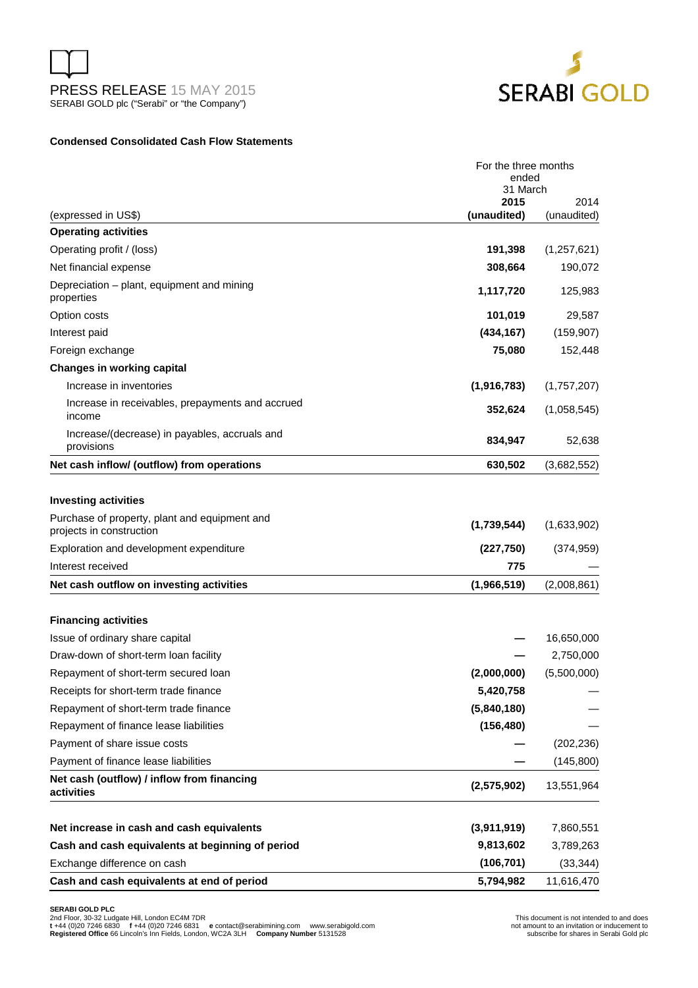



#### **Condensed Consolidated Cash Flow Statements**

|                                                                           | For the three months<br>ended |                     |
|---------------------------------------------------------------------------|-------------------------------|---------------------|
|                                                                           | 31 March                      |                     |
| (expressed in US\$)                                                       | 2015<br>(unaudited)           | 2014<br>(unaudited) |
| <b>Operating activities</b>                                               |                               |                     |
| Operating profit / (loss)                                                 | 191,398                       | (1, 257, 621)       |
| Net financial expense                                                     | 308,664                       | 190,072             |
| Depreciation – plant, equipment and mining<br>properties                  | 1,117,720                     | 125,983             |
| Option costs                                                              | 101,019                       | 29,587              |
| Interest paid                                                             | (434, 167)                    | (159, 907)          |
| Foreign exchange                                                          | 75,080                        | 152,448             |
| <b>Changes in working capital</b>                                         |                               |                     |
| Increase in inventories                                                   | (1,916,783)                   | (1,757,207)         |
| Increase in receivables, prepayments and accrued<br>income                | 352,624                       | (1,058,545)         |
| Increase/(decrease) in payables, accruals and<br>provisions               | 834,947                       | 52,638              |
| Net cash inflow/ (outflow) from operations                                | 630,502                       | (3,682,552)         |
|                                                                           |                               |                     |
| <b>Investing activities</b>                                               |                               |                     |
| Purchase of property, plant and equipment and<br>projects in construction | (1,739,544)                   | (1,633,902)         |
| Exploration and development expenditure                                   | (227, 750)                    | (374, 959)          |
| Interest received                                                         | 775                           |                     |
| Net cash outflow on investing activities                                  | (1,966,519)                   | (2,008,861)         |
|                                                                           |                               |                     |
| <b>Financing activities</b>                                               |                               |                     |
| Issue of ordinary share capital                                           |                               | 16,650,000          |
| Draw-down of short-term loan facility                                     |                               | 2,750,000           |
| Repayment of short-term secured loan                                      | (2,000,000)                   | (5,500,000)         |
| Receipts for short-term trade finance                                     | 5,420,758                     |                     |
| Repayment of short-term trade finance                                     | (5,840,180)                   |                     |
| Repayment of finance lease liabilities                                    | (156, 480)                    |                     |
| Payment of share issue costs                                              |                               | (202, 236)          |
| Payment of finance lease liabilities                                      |                               | (145, 800)          |
| Net cash (outflow) / inflow from financing<br>activities                  | (2,575,902)                   | 13,551,964          |
| Net increase in cash and cash equivalents                                 | (3,911,919)                   | 7,860,551           |
| Cash and cash equivalents at beginning of period                          | 9,813,602                     | 3,789,263           |
| Exchange difference on cash                                               | (106, 701)                    | (33, 344)           |
| Cash and cash equivalents at end of period                                | 5,794,982                     | 11,616,470          |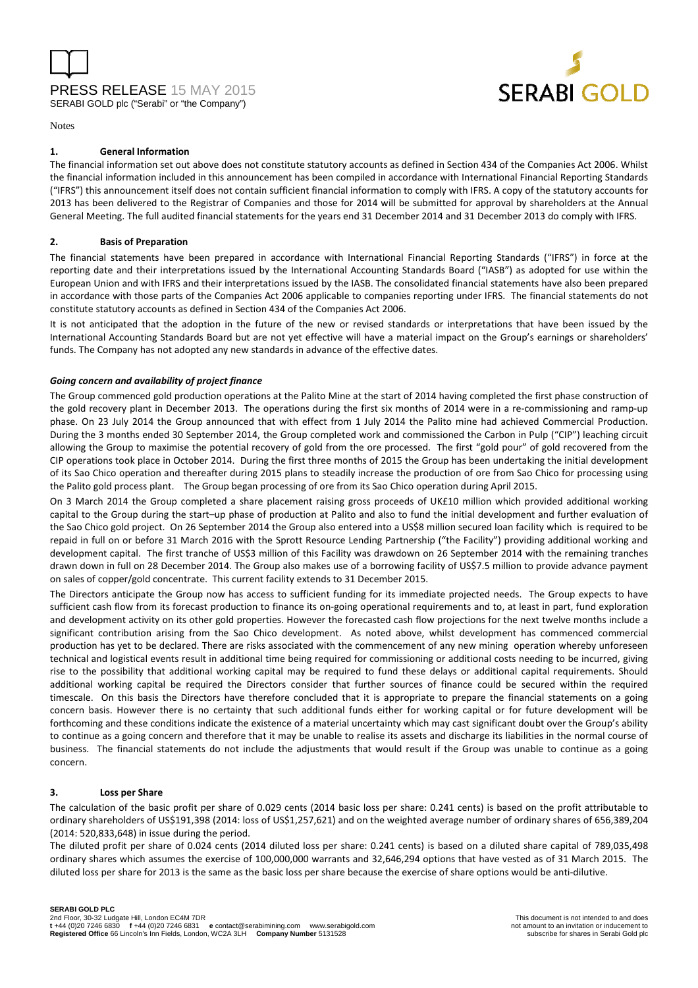

**SERABI GOLD** 

Notes

#### **1. General Information**

The financial information set out above does not constitute statutory accounts as defined in Section 434 of the Companies Act 2006. Whilst the financial information included in this announcement has been compiled in accordance with International Financial Reporting Standards ("IFRS") this announcement itself does not contain sufficient financial information to comply with IFRS. A copy of the statutory accounts for 2013 has been delivered to the Registrar of Companies and those for 2014 will be submitted for approval by shareholders at the Annual General Meeting. The full audited financial statements for the years end 31 December 2014 and 31 December 2013 do comply with IFRS.

#### **2. Basis of Preparation**

The financial statements have been prepared in accordance with International Financial Reporting Standards ("IFRS") in force at the reporting date and their interpretations issued by the International Accounting Standards Board ("IASB") as adopted for use within the European Union and with IFRS and their interpretations issued by the IASB. The consolidated financial statements have also been prepared in accordance with those parts of the Companies Act 2006 applicable to companies reporting under IFRS. The financial statements do not constitute statutory accounts as defined in Section 434 of the Companies Act 2006.

It is not anticipated that the adoption in the future of the new or revised standards or interpretations that have been issued by the International Accounting Standards Board but are not yet effective will have a material impact on the Group's earnings or shareholders' funds. The Company has not adopted any new standards in advance of the effective dates.

#### *Going concern and availability of project finance*

The Group commenced gold production operations at the Palito Mine at the start of 2014 having completed the first phase construction of the gold recovery plant in December 2013. The operations during the first six months of 2014 were in a re-commissioning and ramp-up phase. On 23 July 2014 the Group announced that with effect from 1 July 2014 the Palito mine had achieved Commercial Production. During the 3 months ended 30 September 2014, the Group completed work and commissioned the Carbon in Pulp ("CIP") leaching circuit allowing the Group to maximise the potential recovery of gold from the ore processed. The first "gold pour" of gold recovered from the CIP operations took place in October 2014. During the first three months of 2015 the Group has been undertaking the initial development of its Sao Chico operation and thereafter during 2015 plans to steadily increase the production of ore from Sao Chico for processing using the Palito gold process plant. The Group began processing of ore from its Sao Chico operation during April 2015.

On 3 March 2014 the Group completed a share placement raising gross proceeds of UK£10 million which provided additional working capital to the Group during the start–up phase of production at Palito and also to fund the initial development and further evaluation of the Sao Chico gold project. On 26 September 2014 the Group also entered into a US\$8 million secured loan facility which is required to be repaid in full on or before 31 March 2016 with the Sprott Resource Lending Partnership ("the Facility") providing additional working and development capital. The first tranche of US\$3 million of this Facility was drawdown on 26 September 2014 with the remaining tranches drawn down in full on 28 December 2014. The Group also makes use of a borrowing facility of US\$7.5 million to provide advance payment on sales of copper/gold concentrate. This current facility extends to 31 December 2015.

The Directors anticipate the Group now has access to sufficient funding for its immediate projected needs. The Group expects to have sufficient cash flow from its forecast production to finance its on-going operational requirements and to, at least in part, fund exploration and development activity on its other gold properties. However the forecasted cash flow projections for the next twelve months include a significant contribution arising from the Sao Chico development. As noted above, whilst development has commenced commercial production has yet to be declared. There are risks associated with the commencement of any new mining operation whereby unforeseen technical and logistical events result in additional time being required for commissioning or additional costs needing to be incurred, giving rise to the possibility that additional working capital may be required to fund these delays or additional capital requirements. Should additional working capital be required the Directors consider that further sources of finance could be secured within the required timescale. On this basis the Directors have therefore concluded that it is appropriate to prepare the financial statements on a going concern basis. However there is no certainty that such additional funds either for working capital or for future development will be forthcoming and these conditions indicate the existence of a material uncertainty which may cast significant doubt over the Group's ability to continue as a going concern and therefore that it may be unable to realise its assets and discharge its liabilities in the normal course of business. The financial statements do not include the adjustments that would result if the Group was unable to continue as a going concern.

#### **3. Loss per Share**

The calculation of the basic profit per share of 0.029 cents (2014 basic loss per share: 0.241 cents) is based on the profit attributable to ordinary shareholders of US\$191,398 (2014: loss of US\$1,257,621) and on the weighted average number of ordinary shares of 656,389,204 (2014: 520,833,648) in issue during the period.

The diluted profit per share of 0.024 cents (2014 diluted loss per share: 0.241 cents) is based on a diluted share capital of 789,035,498 ordinary shares which assumes the exercise of 100,000,000 warrants and 32,646,294 options that have vested as of 31 March 2015. The diluted loss per share for 2013 is the same as the basic loss per share because the exercise of share options would be anti-dilutive.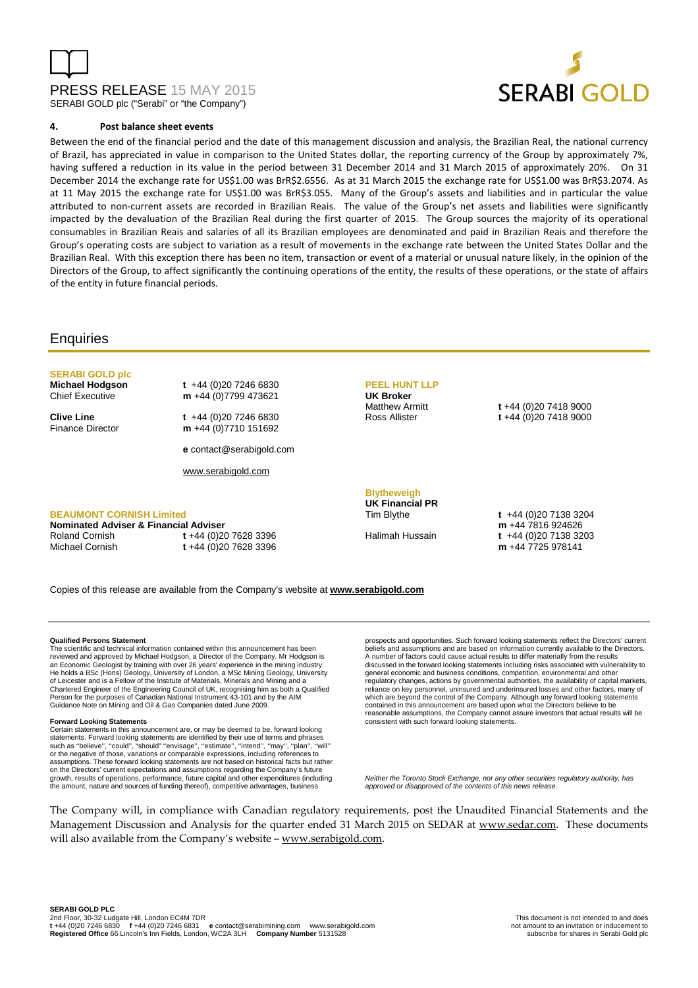# PRESS RELEASE 15 MAY 2015

SERABI GOLD plc ("Serabi" or "the Company")

#### **4. Post balance sheet events**

Between the end of the financial period and the date of this management discussion and analysis, the Brazilian Real, the national currency of Brazil, has appreciated in value in comparison to the United States dollar, the reporting currency of the Group by approximately 7%, having suffered a reduction in its value in the period between 31 December 2014 and 31 March 2015 of approximately 20%. On 31 December 2014 the exchange rate for US\$1.00 was BrR\$2.6556. As at 31 March 2015 the exchange rate for US\$1.00 was BrR\$3.2074. As at 11 May 2015 the exchange rate for US\$1.00 was BrR\$3.055. Many of the Group's assets and liabilities and in particular the value attributed to non-current assets are recorded in Brazilian Reais. The value of the Group's net assets and liabilities were significantly impacted by the devaluation of the Brazilian Real during the first quarter of 2015. The Group sources the majority of its operational consumables in Brazilian Reais and salaries of all its Brazilian employees are denominated and paid in Brazilian Reais and therefore the Group's operating costs are subject to variation as a result of movements in the exchange rate between the United States Dollar and the Brazilian Real. With this exception there has been no item, transaction or event of a material or unusual nature likely, in the opinion of the Directors of the Group, to affect significantly the continuing operations of the entity, the results of these operations, or the state of affairs of the entity in future financial periods.

# **Enquiries**

# **SERABI GOLD plc**

**Michael Hodgson t** +44 (0)20 7246 6830<br>Chief Executive **m** +44 (0)7799 473621 m +44 (0)7799 473621

**Clive Line** t +44 (0)20 7246 6830<br>Finance Director **m** +44 (0)7710 151692 m +44 (0)7710 151692

**e** contact@serabigold.com

www.serabigold.com

#### **BEAUMONT CORNISH Limited**

**Nominated Adviser & Financial Adviser** 

Roland Cornish **t** +44 (0)20 7628 3396 Michael Cornish **t** +44 (0)20 7628 3396

#### **PEEL HUNT LLP UK Broker**

Matthew Armitt **t** +44 (0)20 7418 9000 Ross Allister **t** +44 (0)20 7418 9000

**Blytheweigh UK Financial PR** 

Tim Blythe **t** +44 (0)20 7138 3204 **m** +44 7816 924626 Halimah Hussain **t** +44 (0)20 7138 3203 **m** +44 7725 978141

Copies of this release are available from the Company's website at **www.serabigold.com** 

#### **Qualified Persons Statement**

The scientific and technical information contained within this announcement has been reviewed and approved by Michael Hodgson, a Director of the Company. Mr Hodgson is an Economic Geologist by training with over 26 years' experience in the mining industry. He holds a BSc (Hons) Geology, University of London, a MSc Mining Geology, University<br>of Leicester and is a Fellow of the Institute of Materials, Minerals and Mining and a<br>Chartered Engineer of the Engineering Council of U Person for the purposes of Canadian National Instrument 43-101 and by the AIM Guidance Note on Mining and Oil & Gas Companies dated June 2009.

#### **Forward Looking Statements**

Certain statements in this announcement are, or may be deemed to be, forward looking<br>statements. Forward looking statements are identified by their use of terms and phrases<br>such as "believe", "could", "should" "envisage", assumptions. These forward looking statements are not based on historical facts but rather on the Directors' current expectations and assumptions regarding the Company's future growth, results of operations, performance, future capital and other expenditures (including the amount, nature and sources of funding thereof), competitive advantages, business

prospects and opportunities. Such forward looking statements reflect the Directors' current<br>beliefs and assumptions and are based on information currently available to the Directors. A number of factors could cause actual results to differ materially from the results discussed in the forward looking statements including risks associated with vulnerability to general economic and business conditions, competition, environmental and other regulatory changes, actions by governmental authorities, the availability of capital markets, reliance on key personnel, uninsured and underinsured losses and other factors, many of which are beyond the control of the Company. Although any forward looking statements contained in this announcement are based upon what the Directors believe to be reasonable assumptions, the Company cannot assure investors that actual results will be consistent with such forward looking statements.

Neither the Toronto Stock Exchange, nor any other securities regulatory authority, has approved or disapproved of the contents of this news release.

The Company will, in compliance with Canadian regulatory requirements, post the Unaudited Financial Statements and the Management Discussion and Analysis for the quarter ended 31 March 2015 on SEDAR at www.sedar.com. These documents will also available from the Company's website – www.serabigold.com.